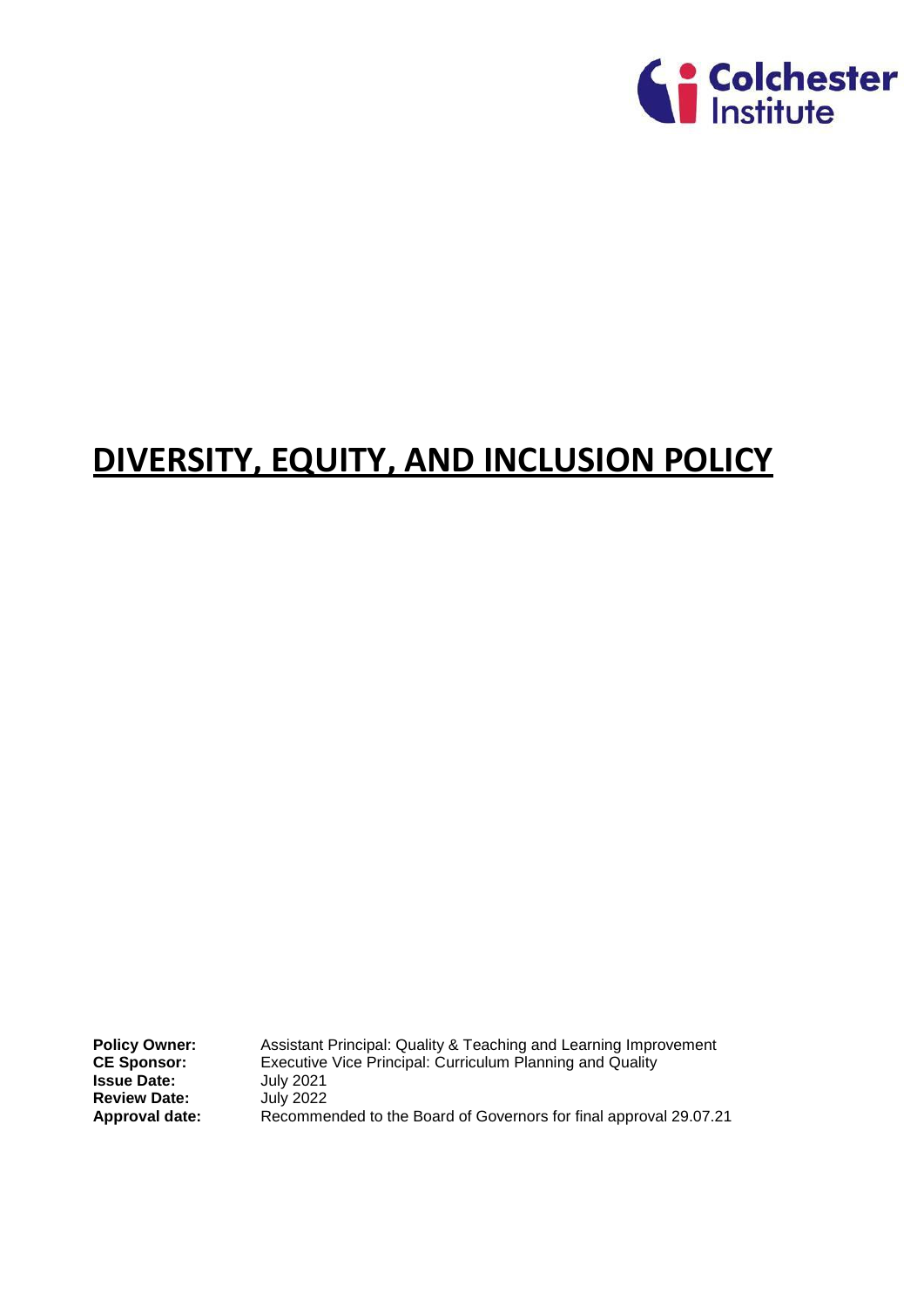

# **DIVERSITY, EQUITY, AND INCLUSION POLICY**

**Policy Owner:** Assistant Principal: Quality & Teaching and Learning Improvement<br>CE Sponsor: Executive Vice Principal: Curriculum Planning and Quality **CE Sponsor:** Executive Vice Principal: Curriculum Planning and Quality<br>**Issue Date: Executive** 100 July 2021 **Issue Date:** July 2021 **Review Date:** July 2022 **Approval date:** Recommended to the Board of Governors for final approval 29.07.21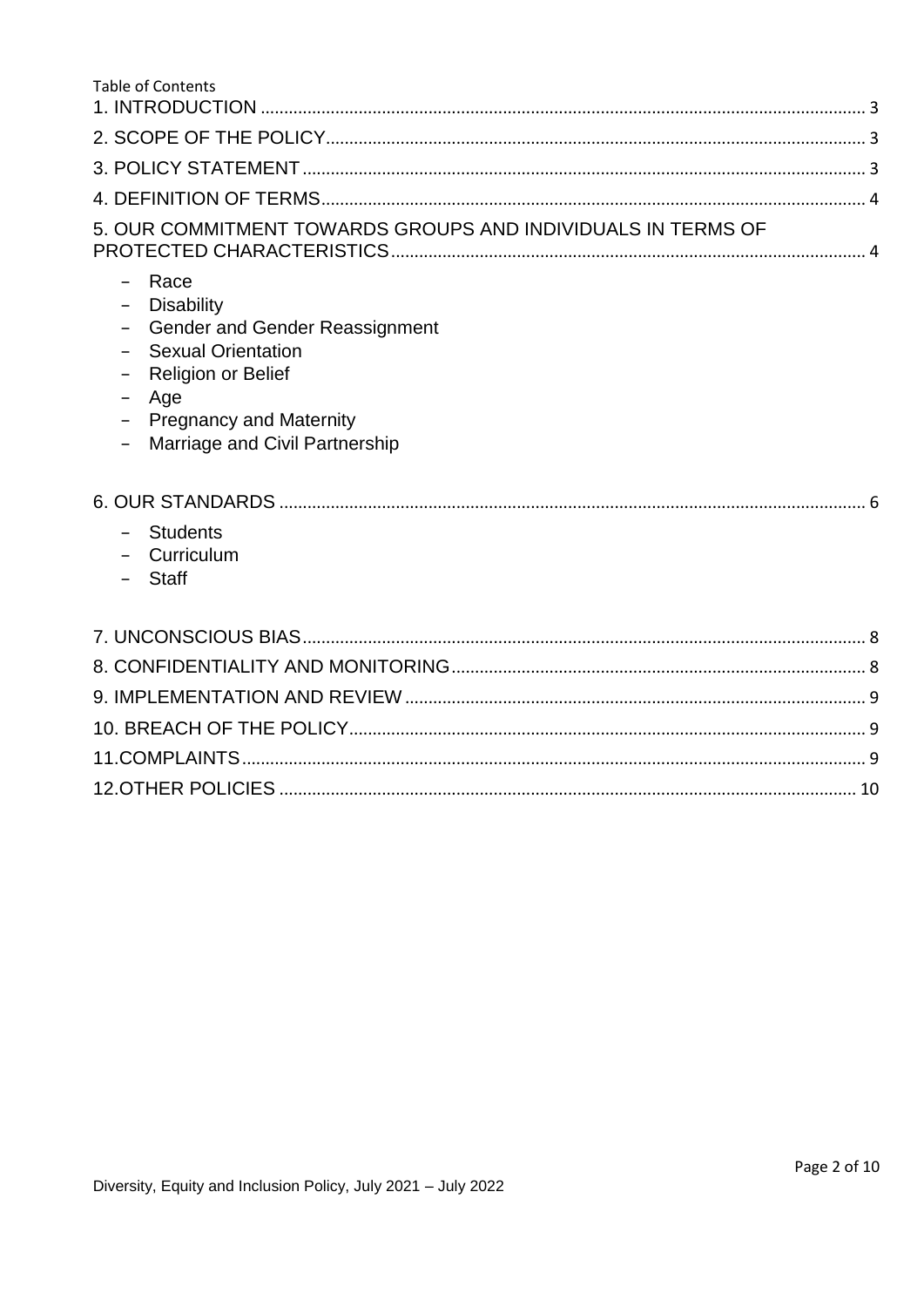| Table of Contents                                                                                                                                                                                  |  |
|----------------------------------------------------------------------------------------------------------------------------------------------------------------------------------------------------|--|
|                                                                                                                                                                                                    |  |
|                                                                                                                                                                                                    |  |
|                                                                                                                                                                                                    |  |
|                                                                                                                                                                                                    |  |
| 5. OUR COMMITMENT TOWARDS GROUPS AND INDIVIDUALS IN TERMS OF                                                                                                                                       |  |
| - Race<br><b>Disability</b><br><b>Gender and Gender Reassignment</b><br><b>Sexual Orientation</b><br>Religion or Belief<br>Age<br><b>Pregnancy and Maternity</b><br>Marriage and Civil Partnership |  |
| - Students<br>- Curriculum<br><b>Staff</b>                                                                                                                                                         |  |
|                                                                                                                                                                                                    |  |
|                                                                                                                                                                                                    |  |
|                                                                                                                                                                                                    |  |
|                                                                                                                                                                                                    |  |
|                                                                                                                                                                                                    |  |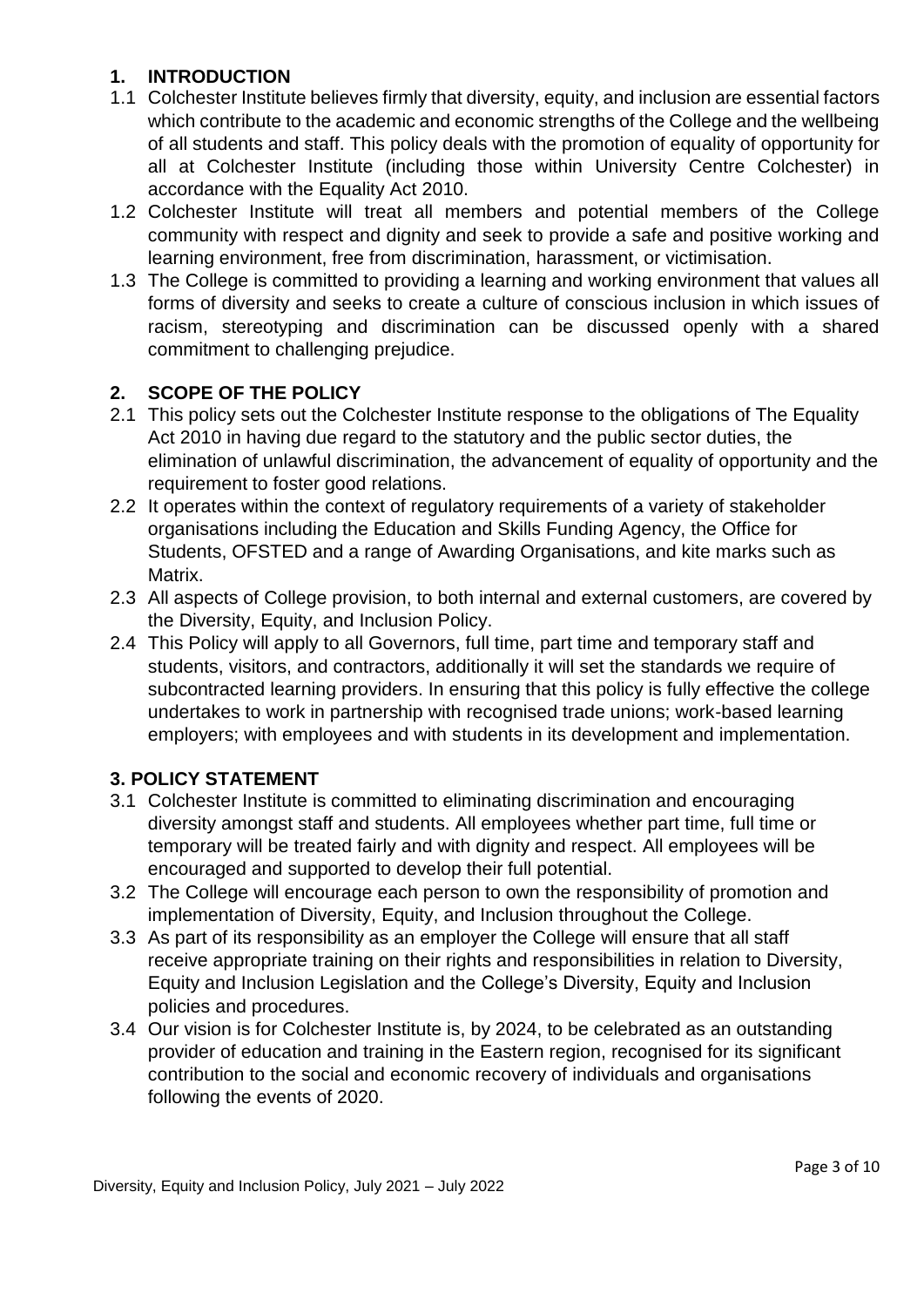# <span id="page-2-0"></span>**1. INTRODUCTION**

- 1.1 Colchester Institute believes firmly that diversity, equity, and inclusion are essential factors which contribute to the academic and economic strengths of the College and the wellbeing of all students and staff. This policy deals with the promotion of equality of opportunity for all at Colchester Institute (including those within University Centre Colchester) in accordance with the Equality Act 2010.
- 1.2 Colchester Institute will treat all members and potential members of the College community with respect and dignity and seek to provide a safe and positive working and learning environment, free from discrimination, harassment, or victimisation.
- 1.3 The College is committed to providing a learning and working environment that values all forms of diversity and seeks to create a culture of conscious inclusion in which issues of racism, stereotyping and discrimination can be discussed openly with a shared commitment to challenging prejudice.

# <span id="page-2-1"></span>**2. SCOPE OF THE POLICY**

- 2.1 This policy sets out the Colchester Institute response to the obligations of The Equality Act 2010 in having due regard to the statutory and the public sector duties, the elimination of unlawful discrimination, the advancement of equality of opportunity and the requirement to foster good relations.
- 2.2 It operates within the context of regulatory requirements of a variety of stakeholder organisations including the Education and Skills Funding Agency, the Office for Students, OFSTED and a range of Awarding Organisations, and kite marks such as Matrix.
- 2.3 All aspects of College provision, to both internal and external customers, are covered by the Diversity, Equity, and Inclusion Policy.
- 2.4 This Policy will apply to all Governors, full time, part time and temporary staff and students, visitors, and contractors, additionally it will set the standards we require of subcontracted learning providers. In ensuring that this policy is fully effective the college undertakes to work in partnership with recognised trade unions; work-based learning employers; with employees and with students in its development and implementation.

# <span id="page-2-2"></span>**3. POLICY STATEMENT**

- 3.1 Colchester Institute is committed to eliminating discrimination and encouraging diversity amongst staff and students. All employees whether part time, full time or temporary will be treated fairly and with dignity and respect. All employees will be encouraged and supported to develop their full potential.
- 3.2 The College will encourage each person to own the responsibility of promotion and implementation of Diversity, Equity, and Inclusion throughout the College.
- 3.3 As part of its responsibility as an employer the College will ensure that all staff receive appropriate training on their rights and responsibilities in relation to Diversity, Equity and Inclusion Legislation and the College's Diversity, Equity and Inclusion policies and procedures.
- 3.4 Our vision is for Colchester Institute is, by 2024, to be celebrated as an outstanding provider of education and training in the Eastern region, recognised for its significant contribution to the social and economic recovery of individuals and organisations following the events of 2020.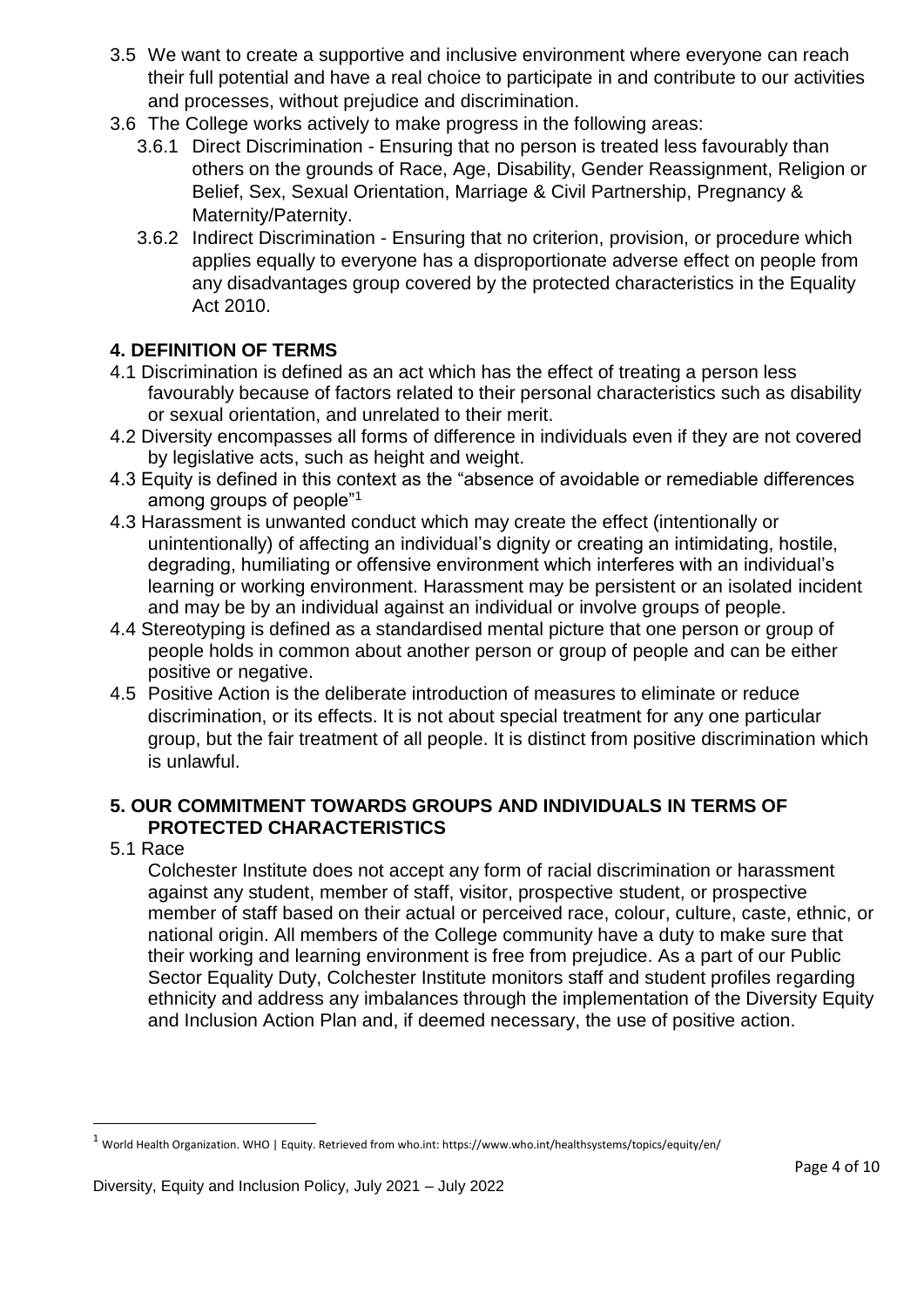- 3.5 We want to create a supportive and inclusive environment where everyone can reach their full potential and have a real choice to participate in and contribute to our activities and processes, without prejudice and discrimination.
- 3.6 The College works actively to make progress in the following areas:
	- 3.6.1 Direct Discrimination Ensuring that no person is treated less favourably than others on the grounds of Race, Age, Disability, Gender Reassignment, Religion or Belief, Sex, Sexual Orientation, Marriage & Civil Partnership, Pregnancy & Maternity/Paternity.
	- 3.6.2 Indirect Discrimination Ensuring that no criterion, provision, or procedure which applies equally to everyone has a disproportionate adverse effect on people from any disadvantages group covered by the protected characteristics in the Equality Act 2010.

# <span id="page-3-0"></span>**4. DEFINITION OF TERMS**

- 4.1 Discrimination is defined as an act which has the effect of treating a person less favourably because of factors related to their personal characteristics such as disability or sexual orientation, and unrelated to their merit.
- 4.2 Diversity encompasses all forms of difference in individuals even if they are not covered by legislative acts, such as height and weight.
- 4.3 Equity is defined in this context as the "absence of avoidable or remediable differences among groups of people"<sup>1</sup>
- 4.3 Harassment is unwanted conduct which may create the effect (intentionally or unintentionally) of affecting an individual's dignity or creating an intimidating, hostile, degrading, humiliating or offensive environment which interferes with an individual's learning or working environment. Harassment may be persistent or an isolated incident and may be by an individual against an individual or involve groups of people.
- 4.4 Stereotyping is defined as a standardised mental picture that one person or group of people holds in common about another person or group of people and can be either positive or negative.
- 4.5 Positive Action is the deliberate introduction of measures to eliminate or reduce discrimination, or its effects. It is not about special treatment for any one particular group, but the fair treatment of all people. It is distinct from positive discrimination which is unlawful.

## <span id="page-3-1"></span>**5. OUR COMMITMENT TOWARDS GROUPS AND INDIVIDUALS IN TERMS OF PROTECTED CHARACTERISTICS**

5.1 Race

 $\overline{a}$ 

Colchester Institute does not accept any form of racial discrimination or harassment against any student, member of staff, visitor, prospective student, or prospective member of staff based on their actual or perceived race, colour, culture, caste, ethnic, or national origin. All members of the College community have a duty to make sure that their working and learning environment is free from prejudice. As a part of our Public Sector Equality Duty, Colchester Institute monitors staff and student profiles regarding ethnicity and address any imbalances through the implementation of the Diversity Equity and Inclusion Action Plan and, if deemed necessary, the use of positive action.

 $1$  World Health Organization. WHO | Equity. Retrieved from who.int: https://www.who.int/healthsystems/topics/equity/en/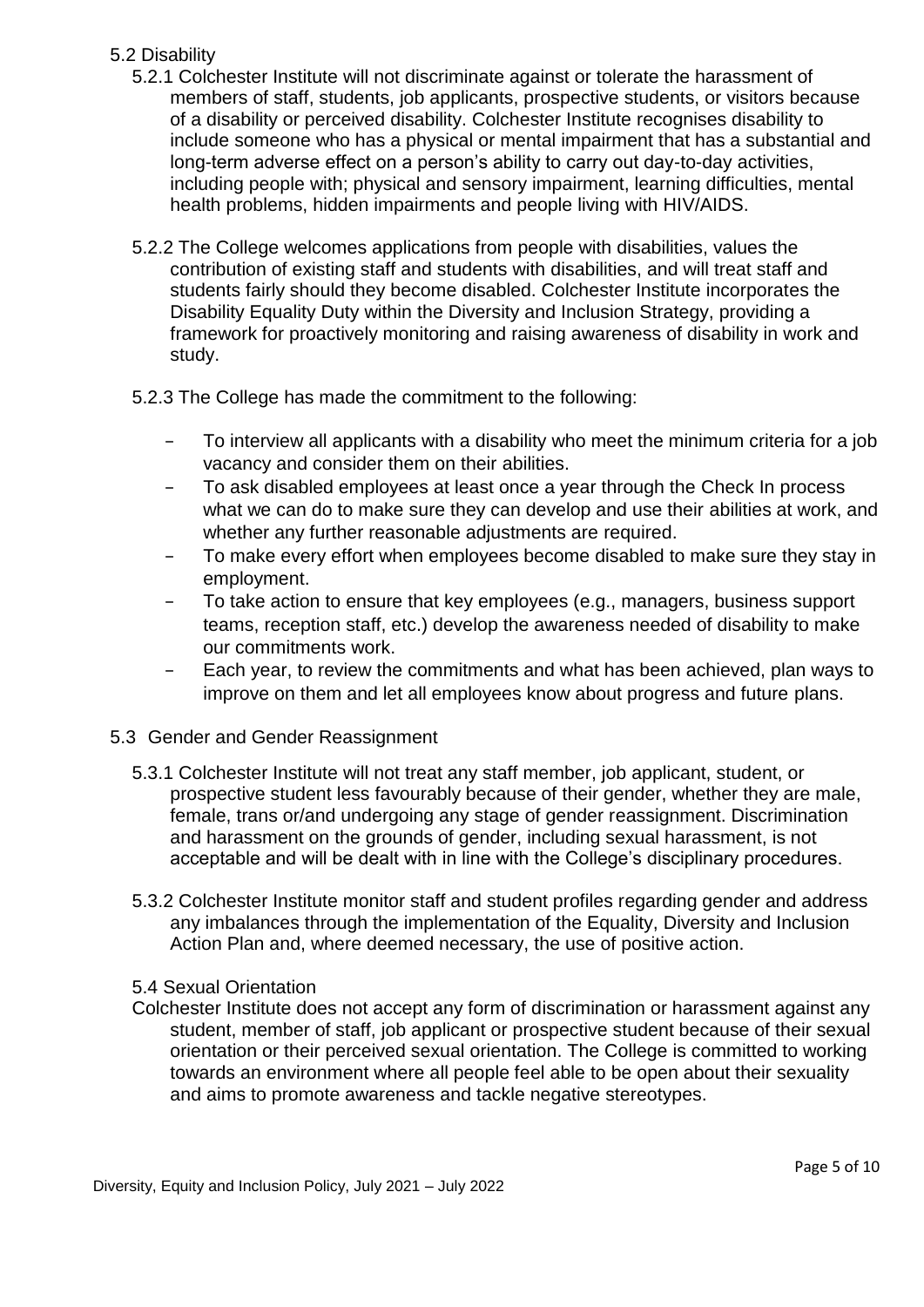# 5.2 Disability

- 5.2.1 Colchester Institute will not discriminate against or tolerate the harassment of members of staff, students, job applicants, prospective students, or visitors because of a disability or perceived disability. Colchester Institute recognises disability to include someone who has a physical or mental impairment that has a substantial and long-term adverse effect on a person's ability to carry out day-to-day activities, including people with; physical and sensory impairment, learning difficulties, mental health problems, hidden impairments and people living with HIV/AIDS.
- 5.2.2 The College welcomes applications from people with disabilities, values the contribution of existing staff and students with disabilities, and will treat staff and students fairly should they become disabled. Colchester Institute incorporates the Disability Equality Duty within the Diversity and Inclusion Strategy, providing a framework for proactively monitoring and raising awareness of disability in work and study.
- 5.2.3 The College has made the commitment to the following:
	- − To interview all applicants with a disability who meet the minimum criteria for a job vacancy and consider them on their abilities.
	- To ask disabled employees at least once a year through the Check In process what we can do to make sure they can develop and use their abilities at work, and whether any further reasonable adjustments are required.
	- − To make every effort when employees become disabled to make sure they stay in employment.
	- To take action to ensure that key employees (e.g., managers, business support teams, reception staff, etc.) develop the awareness needed of disability to make our commitments work.
	- Each year, to review the commitments and what has been achieved, plan ways to improve on them and let all employees know about progress and future plans.

#### 5.3 Gender and Gender Reassignment

- 5.3.1 Colchester Institute will not treat any staff member, job applicant, student, or prospective student less favourably because of their gender, whether they are male, female, trans or/and undergoing any stage of gender reassignment. Discrimination and harassment on the grounds of gender, including sexual harassment, is not acceptable and will be dealt with in line with the College's disciplinary procedures.
- 5.3.2 Colchester Institute monitor staff and student profiles regarding gender and address any imbalances through the implementation of the Equality, Diversity and Inclusion Action Plan and, where deemed necessary, the use of positive action.

#### 5.4 Sexual Orientation

Colchester Institute does not accept any form of discrimination or harassment against any student, member of staff, job applicant or prospective student because of their sexual orientation or their perceived sexual orientation. The College is committed to working towards an environment where all people feel able to be open about their sexuality and aims to promote awareness and tackle negative stereotypes.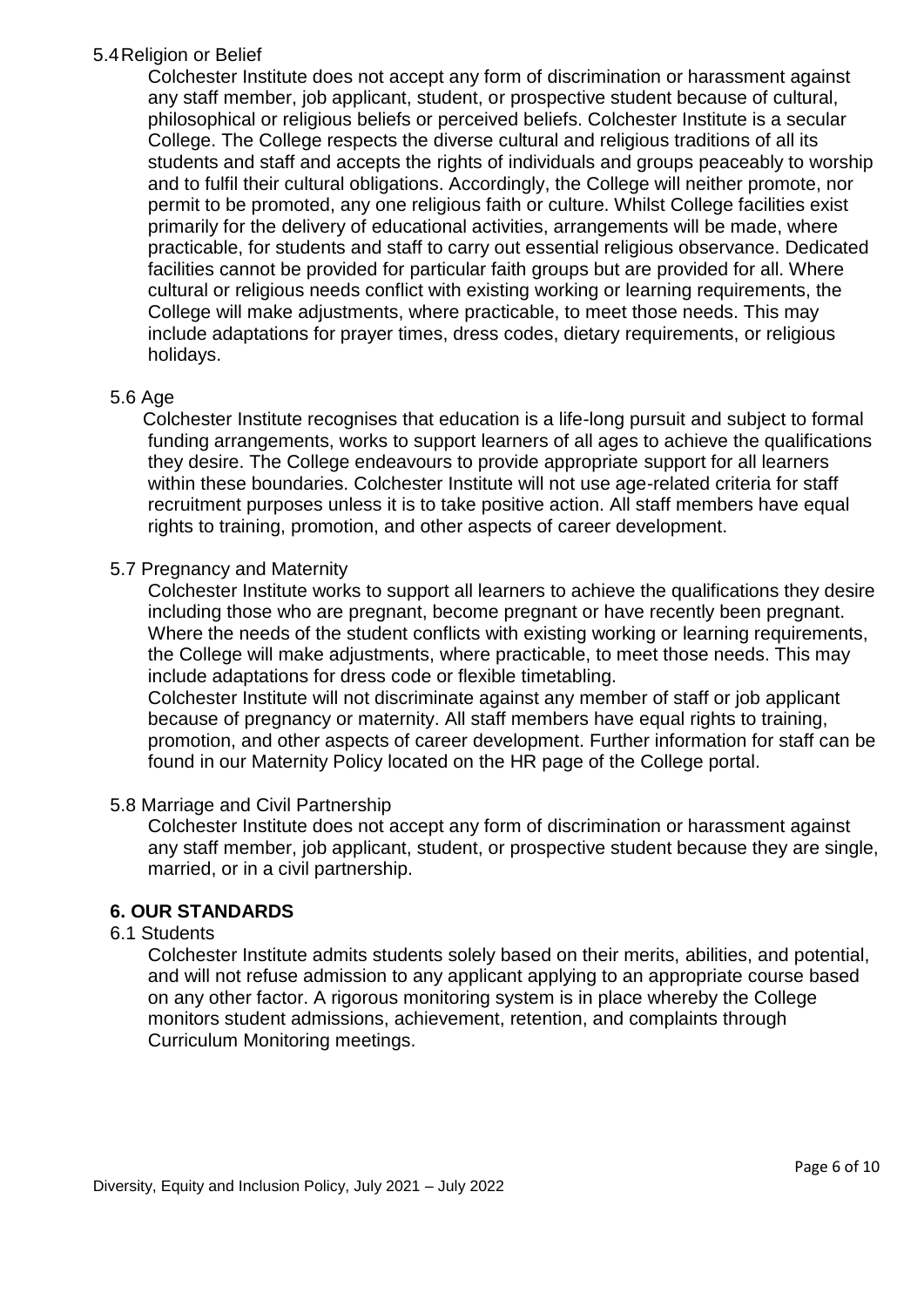#### 5.4Religion or Belief

Colchester Institute does not accept any form of discrimination or harassment against any staff member, job applicant, student, or prospective student because of cultural, philosophical or religious beliefs or perceived beliefs. Colchester Institute is a secular College. The College respects the diverse cultural and religious traditions of all its students and staff and accepts the rights of individuals and groups peaceably to worship and to fulfil their cultural obligations. Accordingly, the College will neither promote, nor permit to be promoted, any one religious faith or culture. Whilst College facilities exist primarily for the delivery of educational activities, arrangements will be made, where practicable, for students and staff to carry out essential religious observance. Dedicated facilities cannot be provided for particular faith groups but are provided for all. Where cultural or religious needs conflict with existing working or learning requirements, the College will make adjustments, where practicable, to meet those needs. This may include adaptations for prayer times, dress codes, dietary requirements, or religious holidays.

#### 5.6 Age

Colchester Institute recognises that education is a life-long pursuit and subject to formal funding arrangements, works to support learners of all ages to achieve the qualifications they desire. The College endeavours to provide appropriate support for all learners within these boundaries. Colchester Institute will not use age-related criteria for staff recruitment purposes unless it is to take positive action. All staff members have equal rights to training, promotion, and other aspects of career development.

#### 5.7 Pregnancy and Maternity

Colchester Institute works to support all learners to achieve the qualifications they desire including those who are pregnant, become pregnant or have recently been pregnant. Where the needs of the student conflicts with existing working or learning requirements, the College will make adjustments, where practicable, to meet those needs. This may include adaptations for dress code or flexible timetabling. Colchester Institute will not discriminate against any member of staff or job applicant because of pregnancy or maternity. All staff members have equal rights to training, promotion, and other aspects of career development. Further information for staff can be found in our Maternity Policy located on the HR page of the College portal.

#### 5.8 Marriage and Civil Partnership

Colchester Institute does not accept any form of discrimination or harassment against any staff member, job applicant, student, or prospective student because they are single, married, or in a civil partnership.

#### <span id="page-5-0"></span>**6. OUR STANDARDS**

#### 6.1 Students

Colchester Institute admits students solely based on their merits, abilities, and potential, and will not refuse admission to any applicant applying to an appropriate course based on any other factor. A rigorous monitoring system is in place whereby the College monitors student admissions, achievement, retention, and complaints through Curriculum Monitoring meetings.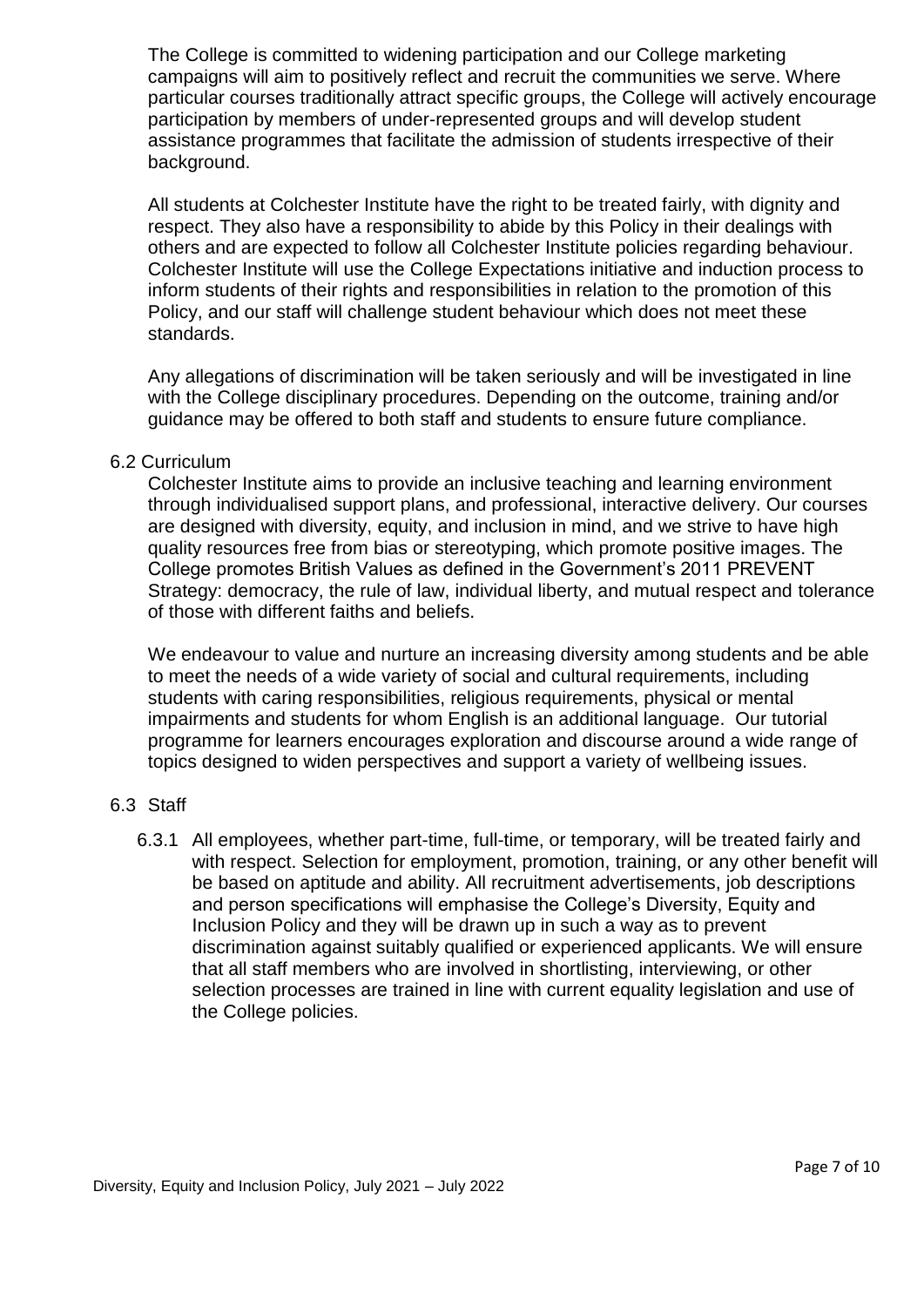The College is committed to widening participation and our College marketing campaigns will aim to positively reflect and recruit the communities we serve. Where particular courses traditionally attract specific groups, the College will actively encourage participation by members of under-represented groups and will develop student assistance programmes that facilitate the admission of students irrespective of their background.

All students at Colchester Institute have the right to be treated fairly, with dignity and respect. They also have a responsibility to abide by this Policy in their dealings with others and are expected to follow all Colchester Institute policies regarding behaviour. Colchester Institute will use the College Expectations initiative and induction process to inform students of their rights and responsibilities in relation to the promotion of this Policy, and our staff will challenge student behaviour which does not meet these standards.

Any allegations of discrimination will be taken seriously and will be investigated in line with the College disciplinary procedures. Depending on the outcome, training and/or guidance may be offered to both staff and students to ensure future compliance.

#### 6.2 Curriculum

Colchester Institute aims to provide an inclusive teaching and learning environment through individualised support plans, and professional, interactive delivery. Our courses are designed with diversity, equity, and inclusion in mind, and we strive to have high quality resources free from bias or stereotyping, which promote positive images. The College promotes British Values as defined in the Government's 2011 PREVENT Strategy: democracy, the rule of law, individual liberty, and mutual respect and tolerance of those with different faiths and beliefs.

We endeavour to value and nurture an increasing diversity among students and be able to meet the needs of a wide variety of social and cultural requirements, including students with caring responsibilities, religious requirements, physical or mental impairments and students for whom English is an additional language. Our tutorial programme for learners encourages exploration and discourse around a wide range of topics designed to widen perspectives and support a variety of wellbeing issues.

#### 6.3 Staff

6.3.1 All employees, whether part-time, full-time, or temporary, will be treated fairly and with respect. Selection for employment, promotion, training, or any other benefit will be based on aptitude and ability. All recruitment advertisements, job descriptions and person specifications will emphasise the College's Diversity, Equity and Inclusion Policy and they will be drawn up in such a way as to prevent discrimination against suitably qualified or experienced applicants. We will ensure that all staff members who are involved in shortlisting, interviewing, or other selection processes are trained in line with current equality legislation and use of the College policies.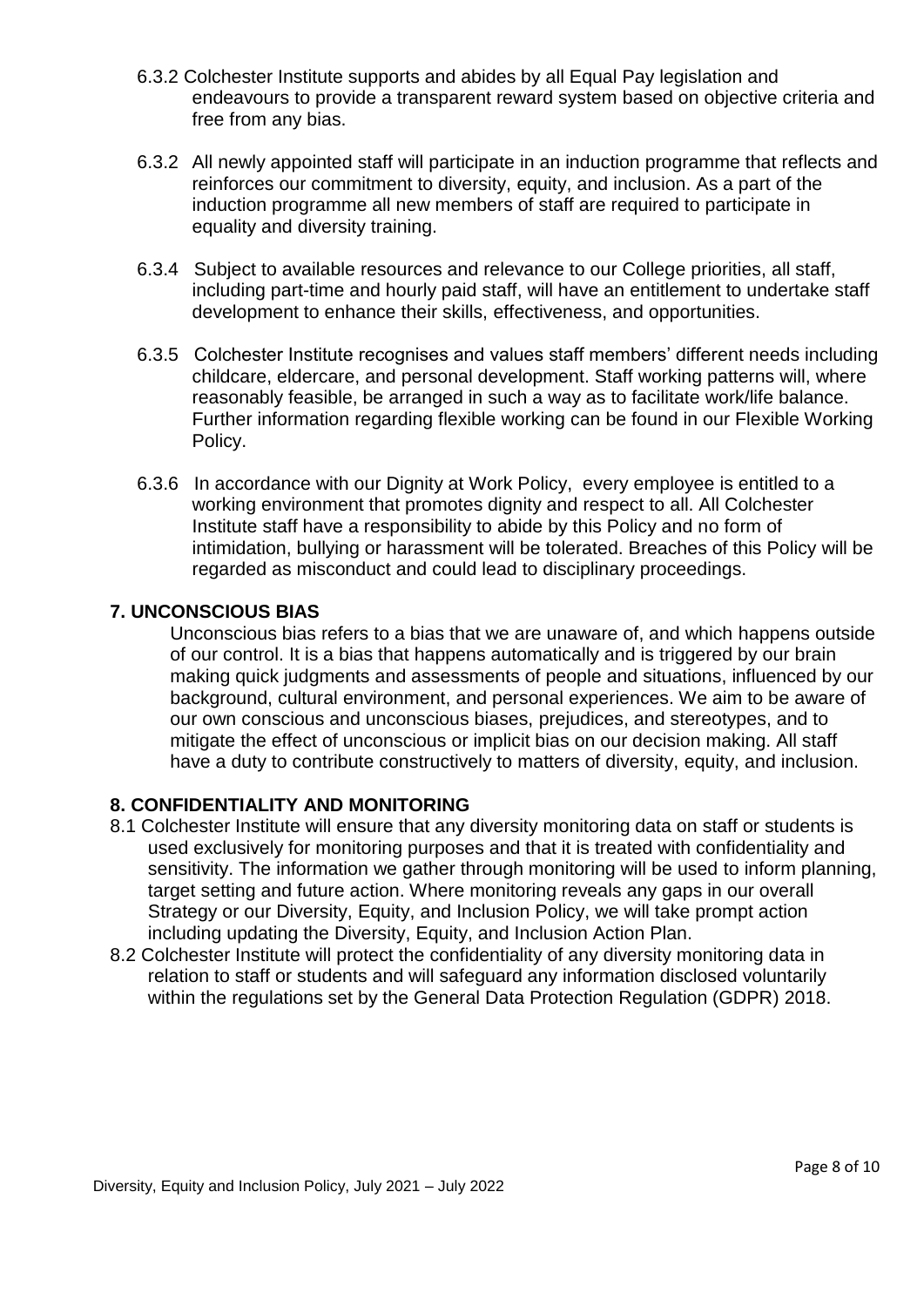- 6.3.2 Colchester Institute supports and abides by all Equal Pay legislation and endeavours to provide a transparent reward system based on objective criteria and free from any bias.
- 6.3.2 All newly appointed staff will participate in an induction programme that reflects and reinforces our commitment to diversity, equity, and inclusion. As a part of the induction programme all new members of staff are required to participate in equality and diversity training.
- 6.3.4 Subject to available resources and relevance to our College priorities, all staff, including part-time and hourly paid staff, will have an entitlement to undertake staff development to enhance their skills, effectiveness, and opportunities.
- 6.3.5 Colchester Institute recognises and values staff members' different needs including childcare, eldercare, and personal development. Staff working patterns will, where reasonably feasible, be arranged in such a way as to facilitate work/life balance. Further information regarding flexible working can be found in our Flexible Working Policy.
- 6.3.6 In accordance with our Dignity at Work Policy, every employee is entitled to a working environment that promotes dignity and respect to all. All Colchester Institute staff have a responsibility to abide by this Policy and no form of intimidation, bullying or harassment will be tolerated. Breaches of this Policy will be regarded as misconduct and could lead to disciplinary proceedings.

## <span id="page-7-0"></span>**7. UNCONSCIOUS BIAS**

Unconscious bias refers to a bias that we are unaware of, and which happens outside of our control. It is a bias that happens automatically and is triggered by our brain making quick judgments and assessments of people and situations, influenced by our background, cultural environment, and personal experiences. We aim to be aware of our own conscious and unconscious biases, prejudices, and stereotypes, and to mitigate the effect of unconscious or implicit bias on our decision making. All staff have a duty to contribute constructively to matters of diversity, equity, and inclusion.

#### <span id="page-7-1"></span>**8. CONFIDENTIALITY AND MONITORING**

- 8.1 Colchester Institute will ensure that any diversity monitoring data on staff or students is used exclusively for monitoring purposes and that it is treated with confidentiality and sensitivity. The information we gather through monitoring will be used to inform planning, target setting and future action. Where monitoring reveals any gaps in our overall Strategy or our Diversity, Equity, and Inclusion Policy, we will take prompt action including updating the Diversity, Equity, and Inclusion Action Plan.
- 8.2 Colchester Institute will protect the confidentiality of any diversity monitoring data in relation to staff or students and will safeguard any information disclosed voluntarily within the regulations set by the General Data Protection Regulation (GDPR) 2018.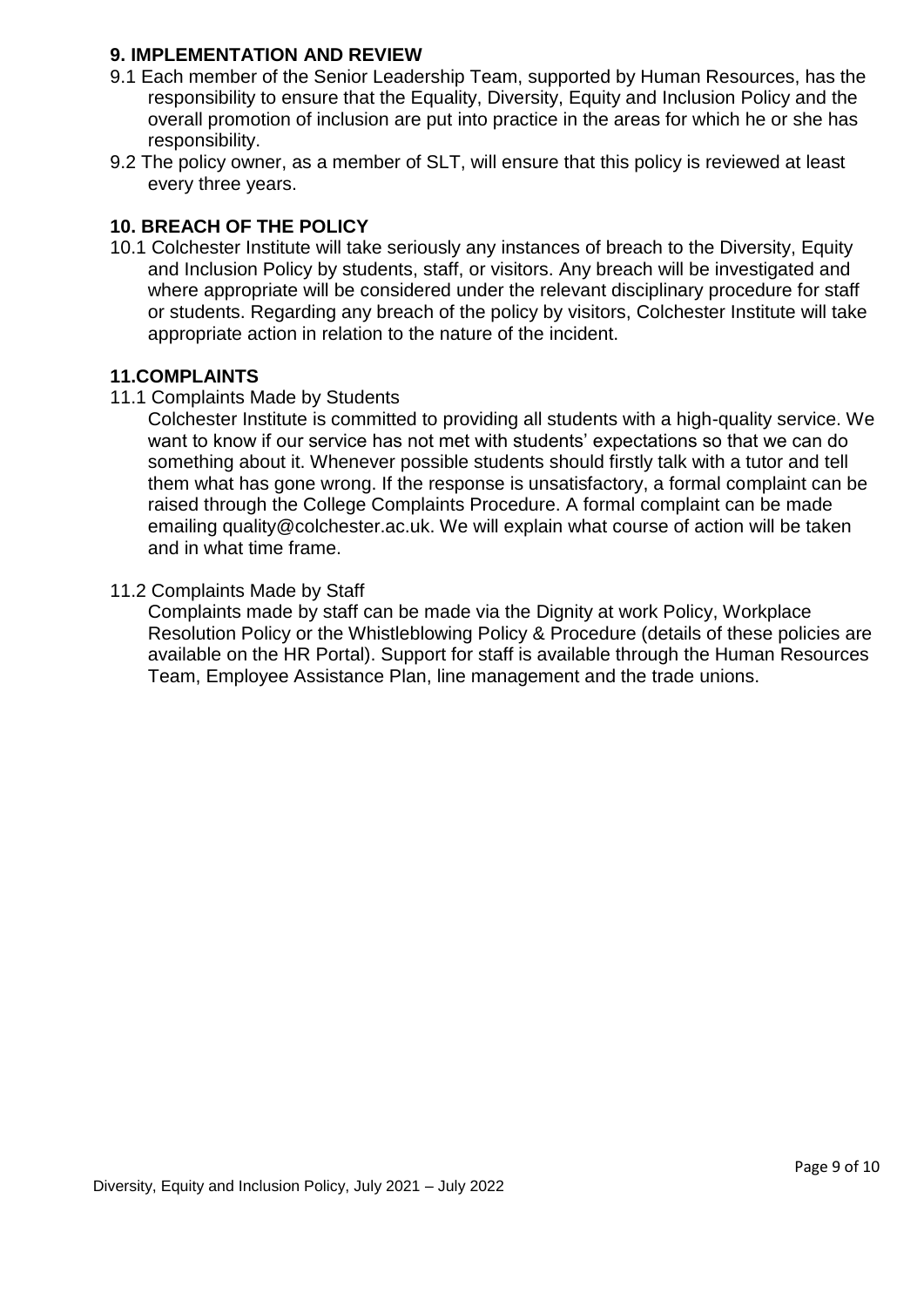#### <span id="page-8-0"></span>**9. IMPLEMENTATION AND REVIEW**

- 9.1 Each member of the Senior Leadership Team, supported by Human Resources, has the responsibility to ensure that the Equality, Diversity, Equity and Inclusion Policy and the overall promotion of inclusion are put into practice in the areas for which he or she has responsibility.
- 9.2 The policy owner, as a member of SLT, will ensure that this policy is reviewed at least every three years.

# <span id="page-8-1"></span>**10. BREACH OF THE POLICY**

10.1 Colchester Institute will take seriously any instances of breach to the Diversity, Equity and Inclusion Policy by students, staff, or visitors. Any breach will be investigated and where appropriate will be considered under the relevant disciplinary procedure for staff or students. Regarding any breach of the policy by visitors, Colchester Institute will take appropriate action in relation to the nature of the incident.

## <span id="page-8-2"></span>**11.COMPLAINTS**

11.1 Complaints Made by Students

Colchester Institute is committed to providing all students with a high-quality service. We want to know if our service has not met with students' expectations so that we can do something about it. Whenever possible students should firstly talk with a tutor and tell them what has gone wrong. If the response is unsatisfactory, a formal complaint can be raised through the College Complaints Procedure. A formal complaint can be made emailing quality@colchester.ac.uk. We will explain what course of action will be taken and in what time frame.

#### 11.2 Complaints Made by Staff

Complaints made by staff can be made via the Dignity at work Policy, Workplace Resolution Policy or the Whistleblowing Policy & Procedure (details of these policies are available on the HR Portal). Support for staff is available through the Human Resources Team, Employee Assistance Plan, line management and the trade unions.